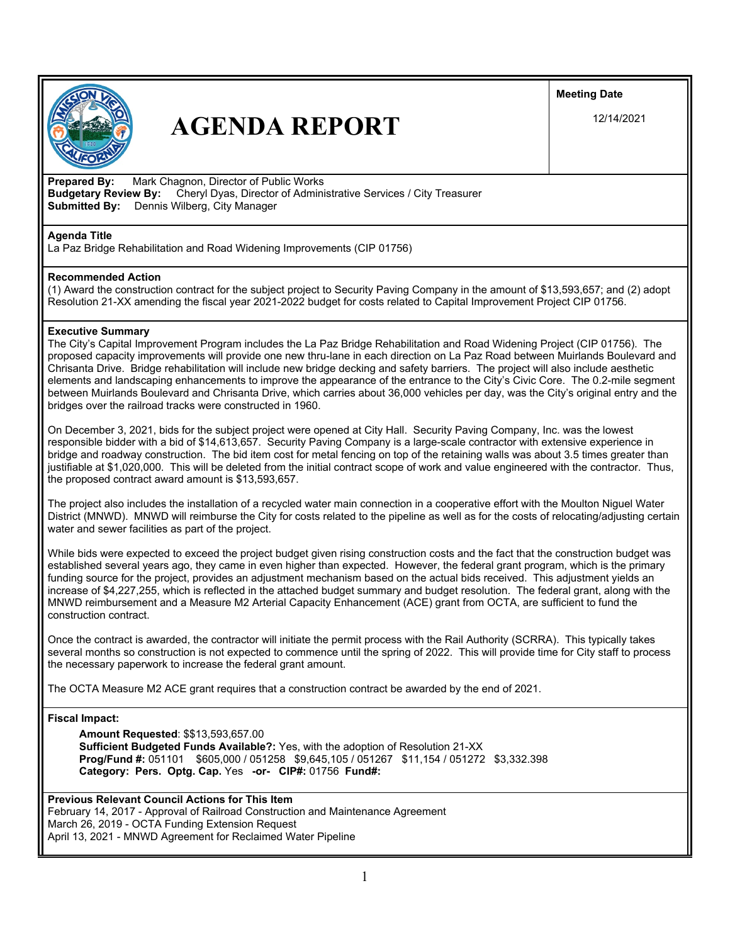

# **AGENDA REPORT**

**Meeting Date**

12/14/2021

**Prepared By:** Mark Chagnon, Director of Public Works **Budgetary Review By:** Cheryl Dyas, Director of Administrative Services / City Treasurer **Submitted By:** Dennis Wilberg, City Manager

### **Agenda Title**

La Paz Bridge Rehabilitation and Road Widening Improvements (CIP 01756)

### **Recommended Action**

(1) Award the construction contract for the subject project to Security Paving Company in the amount of \$13,593,657; and (2) adopt Resolution 21-XX amending the fiscal year 2021-2022 budget for costs related to Capital Improvement Project CIP 01756.

### **Executive Summary**

The City's Capital Improvement Program includes the La Paz Bridge Rehabilitation and Road Widening Project (CIP 01756). The proposed capacity improvements will provide one new thru-lane in each direction on La Paz Road between Muirlands Boulevard and Chrisanta Drive. Bridge rehabilitation will include new bridge decking and safety barriers. The project will also include aesthetic elements and landscaping enhancements to improve the appearance of the entrance to the City's Civic Core. The 0.2-mile segment between Muirlands Boulevard and Chrisanta Drive, which carries about 36,000 vehicles per day, was the City's original entry and the bridges over the railroad tracks were constructed in 1960.

On December 3, 2021, bids for the subject project were opened at City Hall. Security Paving Company, Inc. was the lowest responsible bidder with a bid of \$14,613,657. Security Paving Company is a large-scale contractor with extensive experience in bridge and roadway construction. The bid item cost for metal fencing on top of the retaining walls was about 3.5 times greater than justifiable at \$1,020,000. This will be deleted from the initial contract scope of work and value engineered with the contractor. Thus, the proposed contract award amount is \$13,593,657.

The project also includes the installation of a recycled water main connection in a cooperative effort with the Moulton Niguel Water District (MNWD). MNWD will reimburse the City for costs related to the pipeline as well as for the costs of relocating/adjusting certain water and sewer facilities as part of the project.

While bids were expected to exceed the project budget given rising construction costs and the fact that the construction budget was established several years ago, they came in even higher than expected. However, the federal grant program, which is the primary funding source for the project, provides an adjustment mechanism based on the actual bids received. This adjustment yields an increase of \$4,227,255, which is reflected in the attached budget summary and budget resolution. The federal grant, along with the MNWD reimbursement and a Measure M2 Arterial Capacity Enhancement (ACE) grant from OCTA, are sufficient to fund the construction contract.

Once the contract is awarded, the contractor will initiate the permit process with the Rail Authority (SCRRA). This typically takes several months so construction is not expected to commence until the spring of 2022. This will provide time for City staff to process the necessary paperwork to increase the federal grant amount.

The OCTA Measure M2 ACE grant requires that a construction contract be awarded by the end of 2021.

**Fiscal Impact:**

**Amount Requested**: \$\$13,593,657.00 **Sufficient Budgeted Funds Available?:** Yes, with the adoption of Resolution 21-XX **Prog/Fund #:** 051101 \$605,000 / 051258 \$9,645,105 / 051267 \$11,154 / 051272 \$3,332.398 **Category: Pers. Optg. Cap.** Yes **-or- CIP#:** 01756 **Fund#:**

## **Previous Relevant Council Actions for This Item**

February 14, 2017 - Approval of Railroad Construction and Maintenance Agreement March 26, 2019 - OCTA Funding Extension Request April 13, 2021 - MNWD Agreement for Reclaimed Water Pipeline